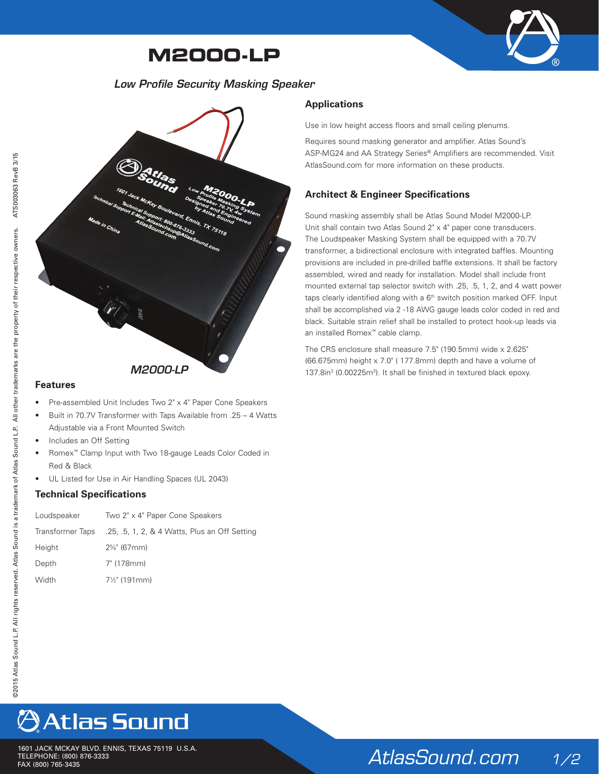### **M2000-LP**



### *Low Profile Security Masking Speaker*



#### **Features**

- Pre-assembled Unit Includes Two 2" x 4" Paper Cone Speakers
- Built in 70.7V Transformer with Taps Available from .25 4 Watts Adjustable via a Front Mounted Switch
- Includes an Off Setting
- Romex™ Clamp Input with Two 18-gauge Leads Color Coded in Red & Black
- UL Listed for Use in Air Handling Spaces (UL 2043)

#### **Technical Specifications**

| Loudspeaker      | Two 2" x 4" Paper Cone Speakers               |
|------------------|-----------------------------------------------|
| Transformer Taps | .25, .5, 1, 2, & 4 Watts, Plus an Off Setting |
| Height           | $2\%$ " (67mm)                                |
| Depth            | 7" (178mm)                                    |
| Width            | $7\frac{1}{2}$ " (191mm)                      |

### **Applications**

Use in low height access floors and small ceiling plenums.

Requires sound masking generator and amplifier. Atlas Sound's ASP-MG24 and AA Strategy Series® Amplifiers are recommended. Visit AtlasSound.com for more information on these products.

### **Architect & Engineer Specifications**

Sound masking assembly shall be Atlas Sound Model M2000-LP. Unit shall contain two Atlas Sound 2" x 4" paper cone transducers. The Loudspeaker Masking System shall be equipped with a 70.7V transformer, a bidirectional enclosure with integrated baffles. Mounting provisions are included in pre-drilled baffle extensions. It shall be factory assembled, wired and ready for installation. Model shall include front mounted external tap selector switch with .25, .5, 1, 2, and 4 watt power taps clearly identified along with a 6<sup>th</sup> switch position marked OFF. Input shall be accomplished via 2 -18 AWG gauge leads color coded in red and black. Suitable strain relief shall be installed to protect hook-up leads via an installed Romex™ cable clamp.

The CRS enclosure shall measure 7.5" (190.5mm) wide x 2.625" (66.675mm) height x 7.0" ( 177.8mm) depth and have a volume of **M2000-LP** 137.8in<sup>3</sup> (0.00225m<sup>3</sup>). It shall be finished in textured black epoxy.

# **Atlas Sound**

1601 JACK MCKAY BLVD. ENNIS, TEXAS 75119 U.S.A. TELEPHONE: (800) 876-3333<br>TELEPHONE: (800) 876-3333<br>FAX (800) 765-3435

## *AtlasSound.com 1/2*